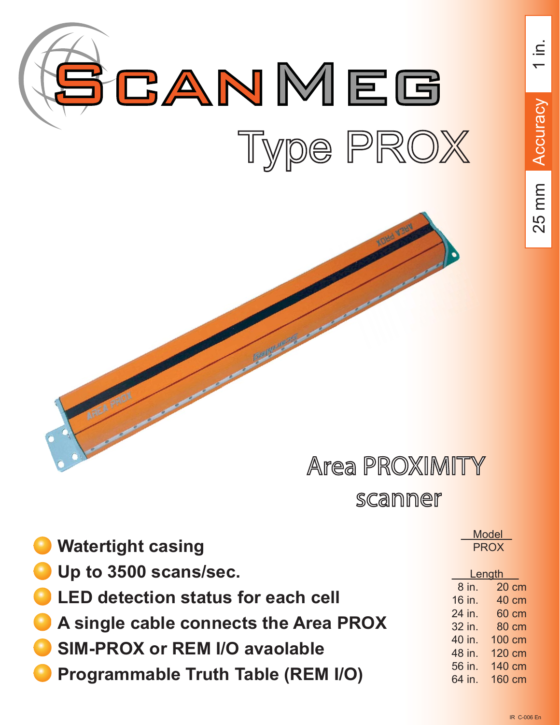

scanner

| <b>Watertight casing</b><br><b>COL</b>                      |          | <u>iviuuti</u><br><b>PROX</b> |
|-------------------------------------------------------------|----------|-------------------------------|
| Up to 3500 scans/sec.                                       | Length   |                               |
|                                                             | 8 in.    | 20 cm                         |
| LED detection status for each cell                          | $16$ in. | 40 cm                         |
|                                                             | $24$ in. | 60 cm                         |
| A single cable connects the Area PROX                       | 32 in.   | 80 cm                         |
| <b>SIM-PROX or REM I/O avaolable</b>                        | 40 in.   | 100 cm                        |
|                                                             | 48 in.   | 120 cm                        |
| <b>Programmable Truth Table (REM I/O)</b><br>$\blacksquare$ | 56 in.   | 140 cm                        |
|                                                             | 64 in.   | 160 cm                        |

Model

25 mm Accuracy

25 mm Accuracy 1 in.

 $\dot{\equiv}$